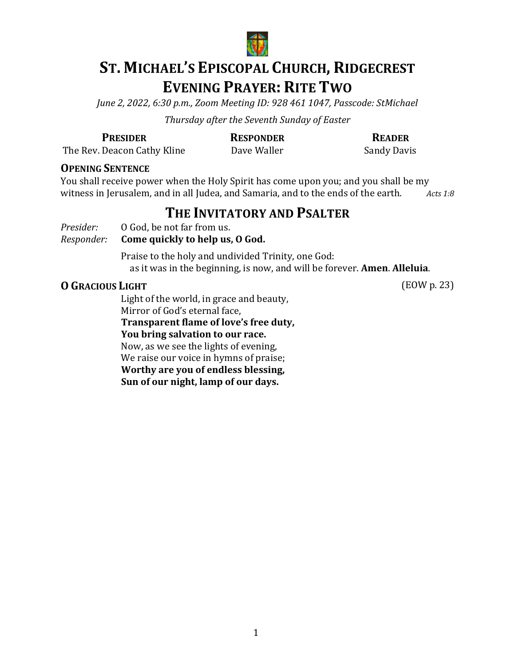

# **ST. MICHAEL'S EPISCOPAL CHURCH, RIDGECREST EVENING PRAYER: RITE TWO**

*June 2, 2022, 6:30 p.m., Zoom Meeting ID: 928 461 1047, Passcode: StMichael*

*Thursday after the Seventh Sunday of Easter*

**PRESIDER RESPONDER READER**

The Rev. Deacon Cathy Kline Dave Waller Sandy Davis

#### **OPENING SENTENCE**

You shall receive power when the Holy Spirit has come upon you; and you shall be my<br>witness in Jerusalem, and in all Judea, and Samaria, and to the ends of the earth. Acts 1:8 witness in Jerusalem, and in all Judea, and Samaria, and to the ends of the earth.

## **THE INVITATORY AND PSALTER**

*Presider:* O God, be not far from us.<br>*Responder:* **Come quickly to help us.** 

#### *Come quickly to help us, O God.*

Praise to the holy and undivided Trinity, one God: as it was in the beginning, is now, and will be forever. **Amen. Alleluia**.

#### **O** GRACIOUS LIGHT (EOW p. 23)

Light of the world, in grace and beauty, Mirror of God's eternal face, **Transparent flame of love's free duty,** You bring salvation to our race. Now, as we see the lights of evening, We raise our voice in hymns of praise; **Worthy are you of endless blessing, Sun of our night, lamp of our days.**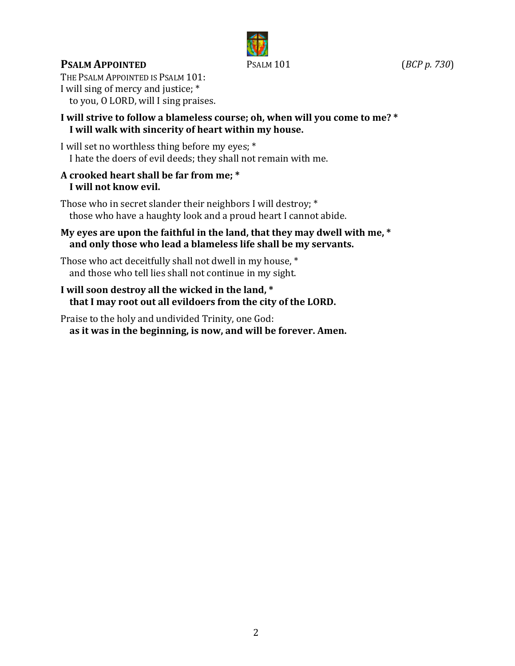

#### **PSALM APPOINTED** PSALM 101 (*BCP p. 730*)

THE PSALM APPOINTED IS PSALM 101: I will sing of mercy and justice; \* to you, O LORD, will I sing praises.

#### I will strive to follow a blameless course; oh, when will you come to me? \* I will walk with sincerity of heart within my house.

I will set no worthless thing before my eyes; \* I hate the doers of evil deeds; they shall not remain with me.

#### A crooked heart shall be far from me; \* **I** will not know evil.

Those who in secret slander their neighbors I will destroy;  $*$ those who have a haughty look and a proud heart I cannot abide.

#### My eyes are upon the faithful in the land, that they may dwell with me,  $*$ and only those who lead a blameless life shall be my servants.

Those who act deceitfully shall not dwell in my house,  $*$ and those who tell lies shall not continue in my sight.

#### I will soon destroy all the wicked in the land, \* that I may root out all evildoers from the city of the LORD.

Praise to the holy and undivided Trinity, one God: as it was in the beginning, is now, and will be forever. Amen.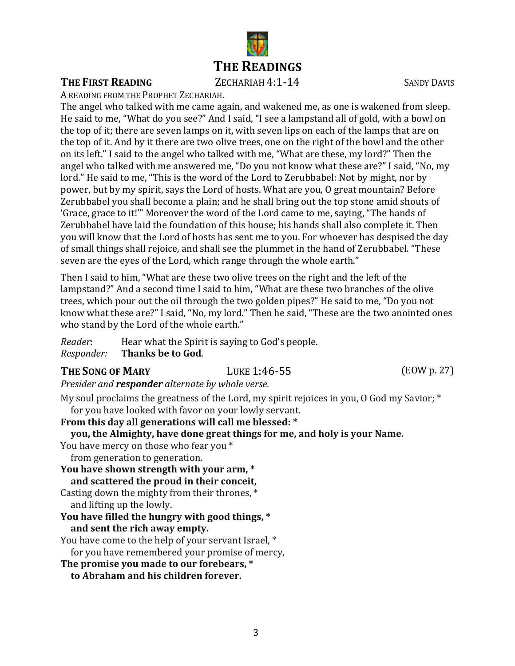

#### **THE FIRST READING** ZECHARIAH 4:1-14 SANDY DAVIS

A READING FROM THE PROPHET ZECHARIAH.

The angel who talked with me came again, and wakened me, as one is wakened from sleep. He said to me, "What do you see?" And I said, "I see a lampstand all of gold, with a bowl on the top of it; there are seven lamps on it, with seven lips on each of the lamps that are on the top of it. And by it there are two olive trees, one on the right of the bowl and the other on its left." I said to the angel who talked with me, "What are these, my lord?" Then the angel who talked with me answered me, "Do you not know what these are?" I said, "No, my lord." He said to me, "This is the word of the Lord to Zerubbabel: Not by might, nor by power, but by my spirit, says the Lord of hosts. What are you, O great mountain? Before Zerubbabel you shall become a plain; and he shall bring out the top stone amid shouts of 'Grace, grace to it!'" Moreover the word of the Lord came to me, saying, "The hands of Zerubbabel have laid the foundation of this house; his hands shall also complete it. Then you will know that the Lord of hosts has sent me to you. For whoever has despised the day of small things shall rejoice, and shall see the plummet in the hand of Zerubbabel. "These seven are the eyes of the Lord, which range through the whole earth."

Then I said to him, "What are these two olive trees on the right and the left of the lampstand?" And a second time I said to him, "What are these two branches of the olive trees, which pour out the oil through the two golden pipes?" He said to me, "Do you not know what these are?" I said, "No, my lord." Then he said, "These are the two anointed ones who stand by the Lord of the whole earth."

*Reader*: Hear what the Spirit is saying to God's people.<br>*Responder:* **Thanks be to God**. **Thanks be to God.** 

#### **THE SONG OF MARY** LUKE 1:46-55 (EOW p. 27)

*Presider and responder alternate by whole verse.* 

- My soul proclaims the greatness of the Lord, my spirit rejoices in you, O God my Savior;  $*$ for you have looked with favor on your lowly servant.
- **From this day all generations will call me blessed: \***

#### **you, the Almighty, have done great things for me, and holy is your Name.**

You have mercy on those who fear you \*

from generation to generation.

- **You have shown strength with your arm, \* and scattered the proud in their conceit,**
- Casting down the mighty from their thrones,  $*$ and lifting up the lowly.
- **You have filled the hungry with good things, \* and sent the rich away empty.**
- You have come to the help of your servant Israel, \* for you have remembered your promise of mercy,
- **The promise you made to our forebears, \***

#### **to Abraham and his children forever.**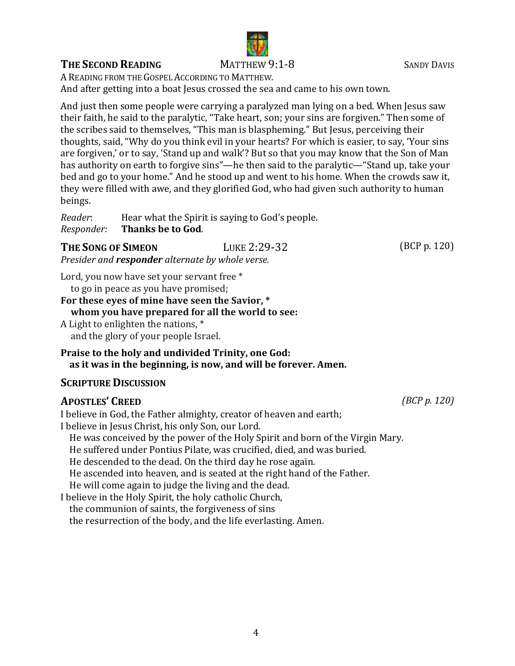#### **THE SECOND READING** MATTHEW 9:1-8 SANDY DAVIS

A READING FROM THE GOSPEL ACCORDING TO MATTHEW.

And after getting into a boat lesus crossed the sea and came to his own town.

And just then some people were carrying a paralyzed man lying on a bed. When Jesus saw their faith, he said to the paralytic, "Take heart, son; your sins are forgiven." Then some of the scribes said to themselves, "This man is blaspheming." But Jesus, perceiving their thoughts, said, "Why do you think evil in your hearts? For which is easier, to say, 'Your sins are forgiven,' or to say, 'Stand up and walk'? But so that you may know that the Son of Man has authority on earth to forgive sins"—he then said to the paralytic—"Stand up, take your bed and go to your home." And he stood up and went to his home. When the crowds saw it, they were filled with awe, and they glorified God, who had given such authority to human beings.

*Reader*: Hear what the Spirit is saying to God's people.<br>*Responder:* **Thanks be to God**. *Responder:* **Thanks be to God**.

#### **THE SONG OF SIMEON** LUKE 2:29-32 (BCP p. 120)

*Presider and responder alternate by whole verse.* 

Lord, you now have set your servant free \*

to go in peace as you have promised;

#### For these eyes of mine have seen the Savior, \* **whom you have prepared for all the world to see:**

A Light to enlighten the nations,  $*$ and the glory of your people Israel.

#### **Praise to the holy and undivided Trinity, one God: as it was in the beginning, is now, and will be forever. Amen.**

### **SCRIPTURE DISCUSSION**

### **APOSTLES' CREED** *(BCP p. 120)*

I believe in God, the Father almighty, creator of heaven and earth; I believe in Jesus Christ, his only Son, our Lord. He was conceived by the power of the Holy Spirit and born of the Virgin Mary. He suffered under Pontius Pilate, was crucified, died, and was buried. He descended to the dead. On the third day he rose again. He ascended into heaven, and is seated at the right hand of the Father. He will come again to judge the living and the dead. I believe in the Holy Spirit, the holy catholic Church, the communion of saints, the forgiveness of sins

the resurrection of the body, and the life everlasting. Amen.

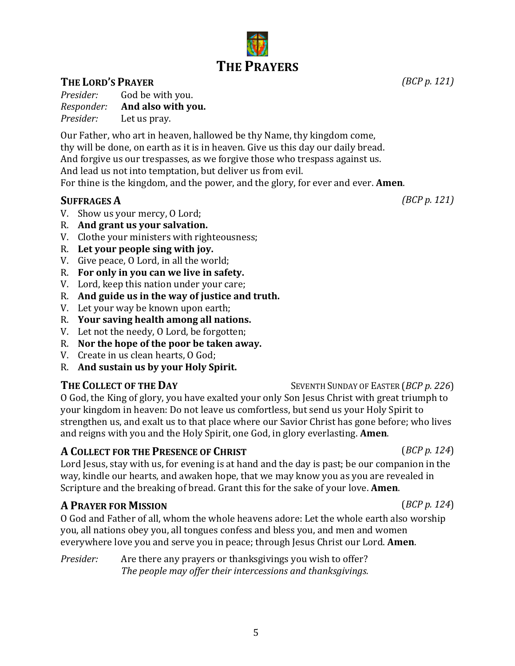

5

*Presider:* God be with you.<br>*Responder:* **And also with you.** *Responder:* **And also with you.** *Presider:* Let us pray.

Our Father, who art in heaven, hallowed be thy Name, thy kingdom come, thy will be done, on earth as it is in heaven. Give us this day our daily bread. And forgive us our trespasses, as we forgive those who trespass against us. And lead us not into temptation, but deliver us from evil. For thine is the kingdom, and the power, and the glory, for ever and ever. **Amen**.

## **SUFFRAGES A** *(BCP p. 121)*

- V. Show us your mercy, O Lord;
- R. And grant us your salvation.
- V. Clothe your ministers with righteousness;
- R. Let your people sing with joy.
- V. Give peace, O Lord, in all the world;
- R. For only in you can we live in safety.
- V. Lord, keep this nation under your care;
- R. And guide us in the way of justice and truth.
- V. Let your way be known upon earth;
- R. Your saving health among all nations.
- V. Let not the needy, O Lord, be forgotten;
- R. Nor the hope of the poor be taken away.
- V. Create in us clean hearts, O God;
- R. And sustain us by your Holy Spirit.

## **THE COLLECT OF THE DAY** SEVENTH SUNDAY OF EASTER (*BCP p.* 226)

O God, the King of glory, you have exalted your only Son Jesus Christ with great triumph to your kingdom in heaven: Do not leave us comfortless, but send us your Holy Spirit to strengthen us, and exalt us to that place where our Savior Christ has gone before; who lives and reigns with you and the Holy Spirit, one God, in glory everlasting. **Amen**.

## **A COLLECT** FOR THE PRESENCE OF **CHRIST** (*BCP p.* 124)

Lord Jesus, stay with us, for evening is at hand and the day is past; be our companion in the way, kindle our hearts, and awaken hope, that we may know you as you are revealed in Scripture and the breaking of bread. Grant this for the sake of your love. **Amen**.

## **A PRAYER FOR MISSION** (*BCP p.* 124)

O God and Father of all, whom the whole heavens adore: Let the whole earth also worship you, all nations obey you, all tongues confess and bless you, and men and women everywhere love you and serve you in peace; through Jesus Christ our Lord. **Amen**.

*Presider:* Are there any prayers or thanksgivings you wish to offer? *The people may offer their intercessions and thanksgivings.*